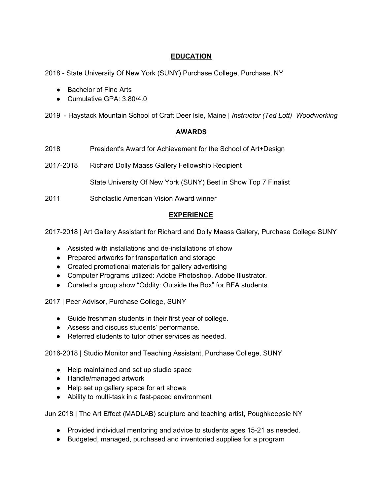# **EDUCATION**

2018 - State University Of New York (SUNY) Purchase College, Purchase, NY

- Bachelor of Fine Arts
- Cumulative GPA: 3.80/4.0

2019 - Haystack Mountain School of Craft Deer Isle, Maine | *Instructor (Ted Lott) Woodworking*

## **AWARDS**

- 2018 President's Award for Achievement for the School of Art+Design
- 2017-2018 Richard Dolly Maass Gallery Fellowship Recipient

State University Of New York (SUNY) Best in Show Top 7 Finalist

2011 Scholastic American Vision Award winner

## **EXPERIENCE**

2017-2018 | Art Gallery Assistant for Richard and Dolly Maass Gallery, Purchase College SUNY

- Assisted with installations and de-installations of show
- Prepared artworks for transportation and storage
- Created promotional materials for gallery advertising
- Computer Programs utilized: Adobe Photoshop, Adobe Illustrator.
- Curated a group show "Oddity: Outside the Box" for BFA students.

2017 | Peer Advisor, Purchase College, SUNY

- Guide freshman students in their first year of college.
- Assess and discuss students' performance.
- Referred students to tutor other services as needed.

2016-2018 | Studio Monitor and Teaching Assistant, Purchase College, SUNY

- Help maintained and set up studio space
- Handle/managed artwork
- Help set up gallery space for art shows
- Ability to multi-task in a fast-paced environment

Jun 2018 | The Art Effect (MADLAB) sculpture and teaching artist, Poughkeepsie NY

- Provided individual mentoring and advice to students ages 15-21 as needed.
- Budgeted, managed, purchased and inventoried supplies for a program